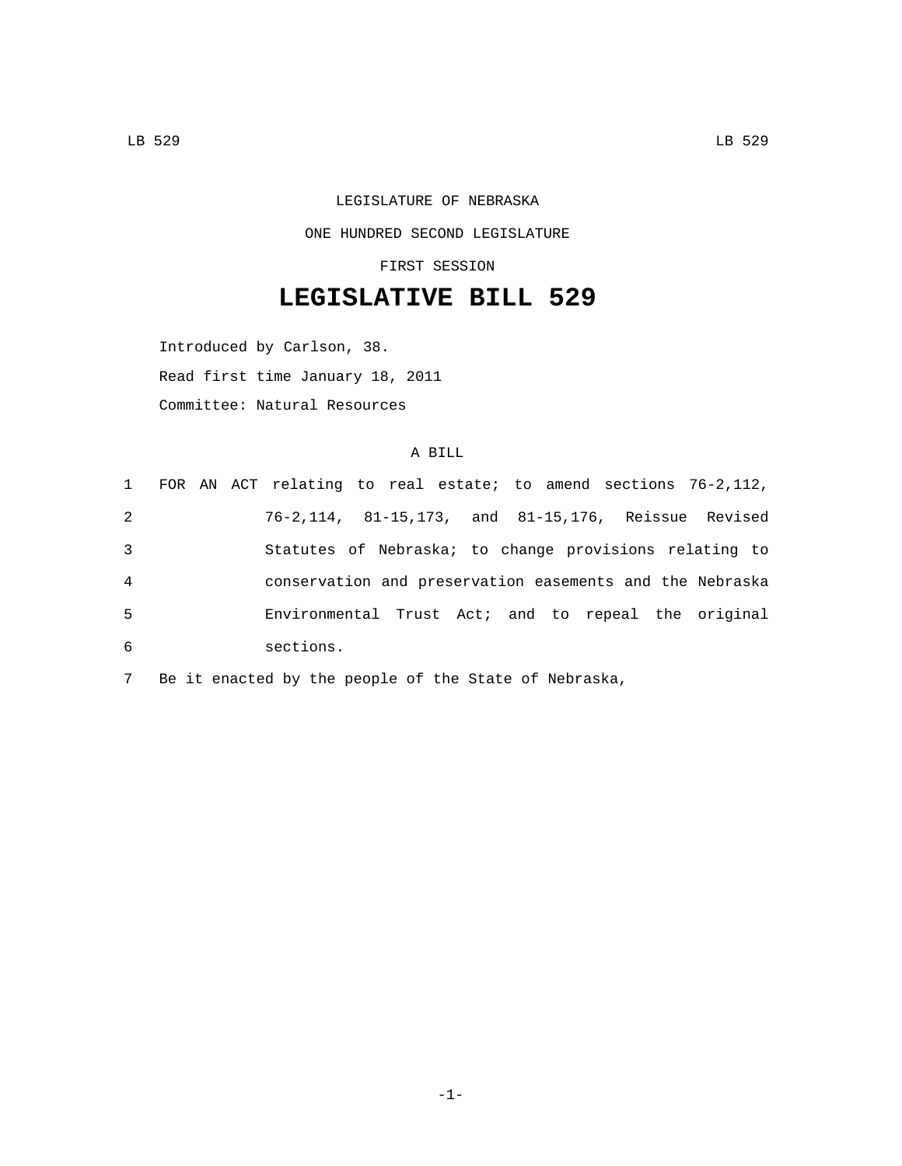LEGISLATURE OF NEBRASKA ONE HUNDRED SECOND LEGISLATURE

FIRST SESSION

## **LEGISLATIVE BILL 529**

Introduced by Carlson, 38. Read first time January 18, 2011 Committee: Natural Resources

## A BILL

|                |  | 1 FOR AN ACT relating to real estate; to amend sections 76-2,112, |  |  |  |  |  |
|----------------|--|-------------------------------------------------------------------|--|--|--|--|--|
| 2              |  | 76-2,114, 81-15,173, and 81-15,176, Reissue Revised               |  |  |  |  |  |
| 3              |  | Statutes of Nebraska; to change provisions relating to            |  |  |  |  |  |
| $\overline{4}$ |  | conservation and preservation easements and the Nebraska          |  |  |  |  |  |
| 5              |  | Environmental Trust Act; and to repeal the original               |  |  |  |  |  |
| 6              |  | sections.                                                         |  |  |  |  |  |

7 Be it enacted by the people of the State of Nebraska,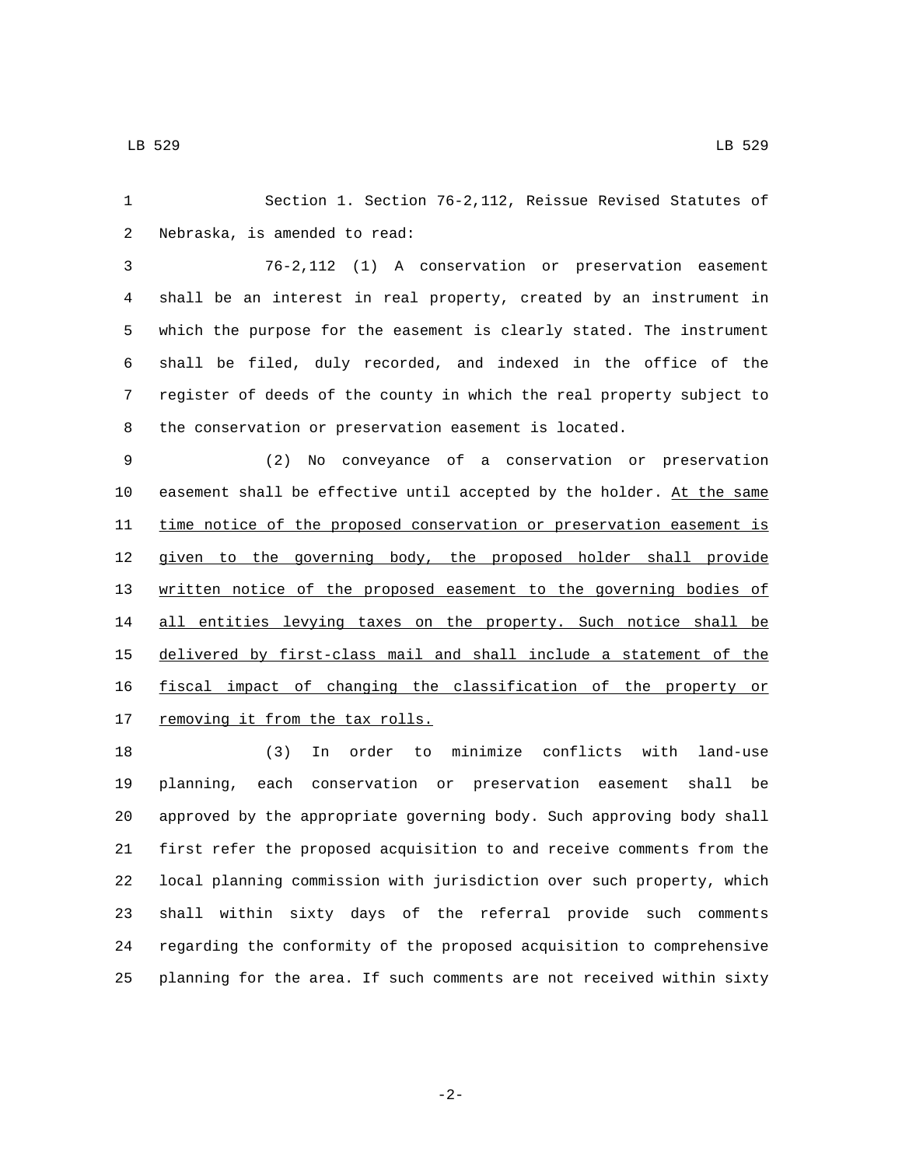Section 1. Section 76-2,112, Reissue Revised Statutes of 2 Nebraska, is amended to read:

 76-2,112 (1) A conservation or preservation easement shall be an interest in real property, created by an instrument in which the purpose for the easement is clearly stated. The instrument shall be filed, duly recorded, and indexed in the office of the register of deeds of the county in which the real property subject to the conservation or preservation easement is located.

 (2) No conveyance of a conservation or preservation easement shall be effective until accepted by the holder. At the same 11 time notice of the proposed conservation or preservation easement is given to the governing body, the proposed holder shall provide written notice of the proposed easement to the governing bodies of 14 all entities levying taxes on the property. Such notice shall be delivered by first-class mail and shall include a statement of the fiscal impact of changing the classification of the property or 17 removing it from the tax rolls.

 (3) In order to minimize conflicts with land-use planning, each conservation or preservation easement shall be approved by the appropriate governing body. Such approving body shall first refer the proposed acquisition to and receive comments from the local planning commission with jurisdiction over such property, which shall within sixty days of the referral provide such comments regarding the conformity of the proposed acquisition to comprehensive planning for the area. If such comments are not received within sixty

-2-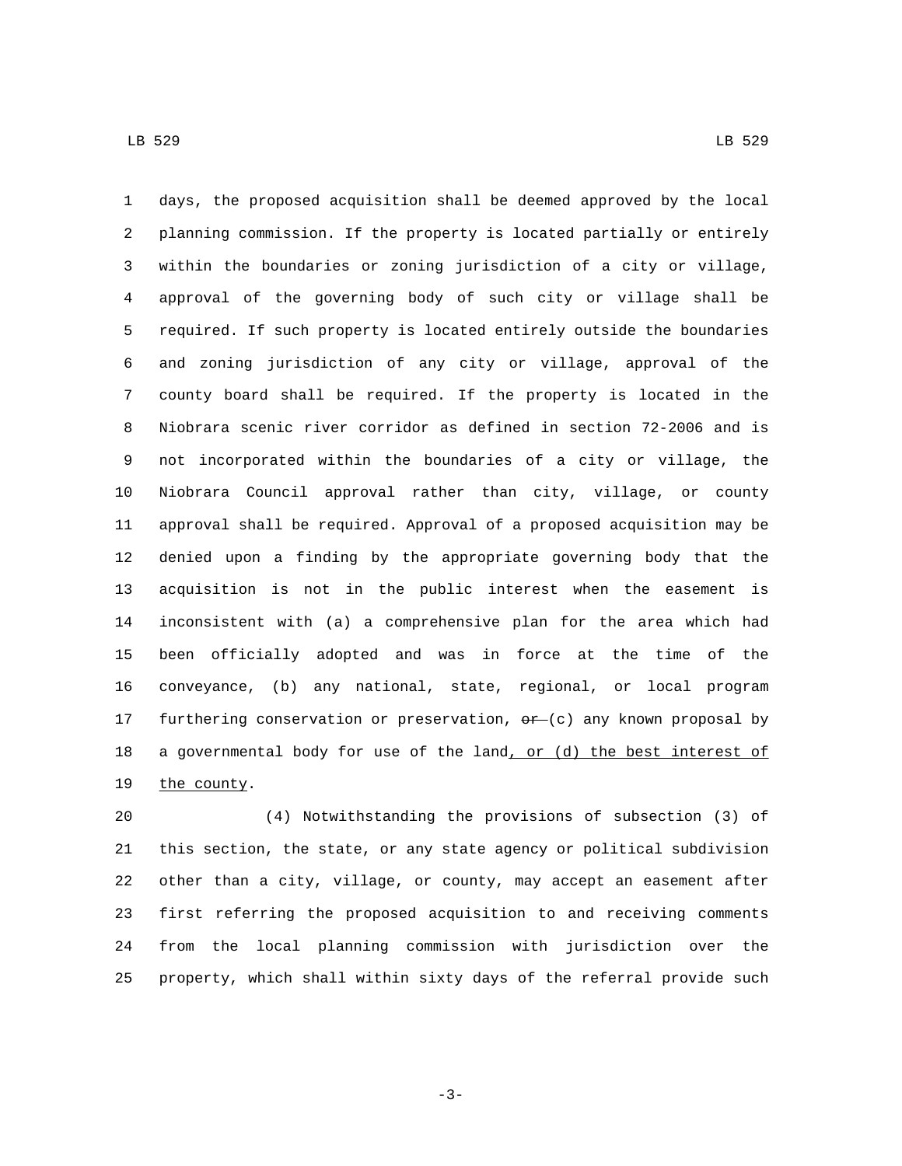days, the proposed acquisition shall be deemed approved by the local planning commission. If the property is located partially or entirely within the boundaries or zoning jurisdiction of a city or village, approval of the governing body of such city or village shall be required. If such property is located entirely outside the boundaries and zoning jurisdiction of any city or village, approval of the county board shall be required. If the property is located in the Niobrara scenic river corridor as defined in section 72-2006 and is not incorporated within the boundaries of a city or village, the Niobrara Council approval rather than city, village, or county approval shall be required. Approval of a proposed acquisition may be denied upon a finding by the appropriate governing body that the acquisition is not in the public interest when the easement is inconsistent with (a) a comprehensive plan for the area which had been officially adopted and was in force at the time of the conveyance, (b) any national, state, regional, or local program 17 furthering conservation or preservation,  $\theta r$  (c) any known proposal by 18 a governmental body for use of the land, or (d) the best interest of 19 the county.

 (4) Notwithstanding the provisions of subsection (3) of this section, the state, or any state agency or political subdivision other than a city, village, or county, may accept an easement after first referring the proposed acquisition to and receiving comments from the local planning commission with jurisdiction over the property, which shall within sixty days of the referral provide such

-3-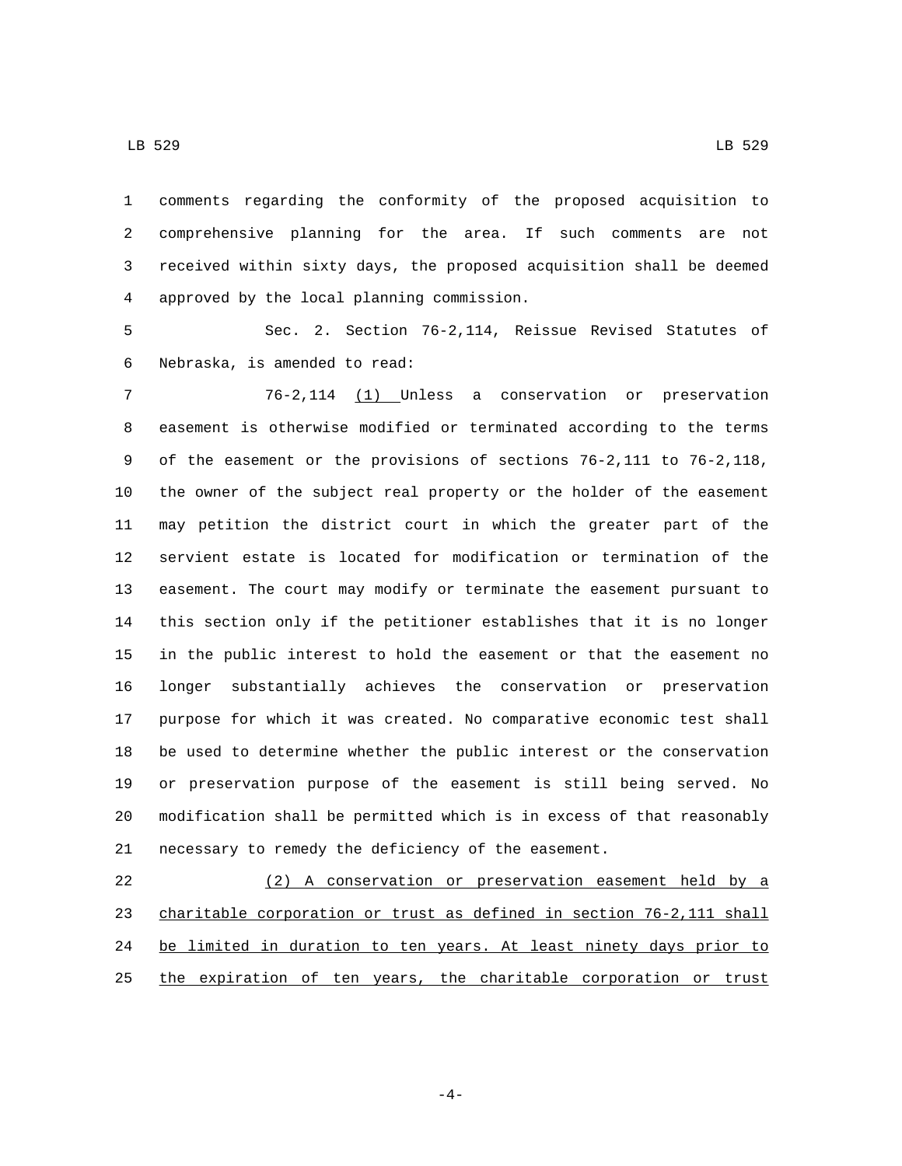comments regarding the conformity of the proposed acquisition to comprehensive planning for the area. If such comments are not received within sixty days, the proposed acquisition shall be deemed approved by the local planning commission.4

 Sec. 2. Section 76-2,114, Reissue Revised Statutes of 6 Nebraska, is amended to read:

 76-2,114 (1) Unless a conservation or preservation easement is otherwise modified or terminated according to the terms of the easement or the provisions of sections 76-2,111 to 76-2,118, the owner of the subject real property or the holder of the easement may petition the district court in which the greater part of the servient estate is located for modification or termination of the easement. The court may modify or terminate the easement pursuant to this section only if the petitioner establishes that it is no longer in the public interest to hold the easement or that the easement no longer substantially achieves the conservation or preservation purpose for which it was created. No comparative economic test shall be used to determine whether the public interest or the conservation or preservation purpose of the easement is still being served. No modification shall be permitted which is in excess of that reasonably necessary to remedy the deficiency of the easement.

 (2) A conservation or preservation easement held by a charitable corporation or trust as defined in section 76-2,111 shall 24 be limited in duration to ten years. At least ninety days prior to 25 the expiration of ten years, the charitable corporation or trust

-4-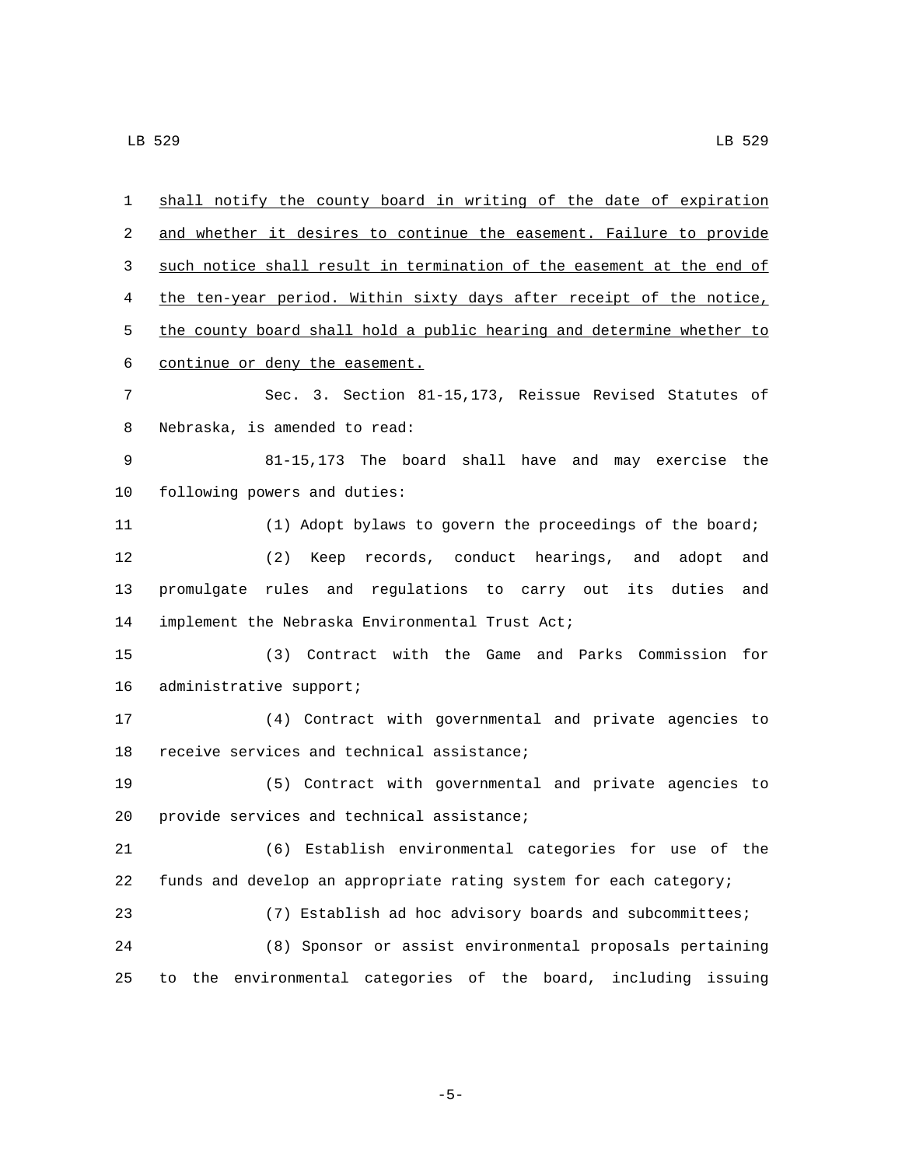| 1  | shall notify the county board in writing of the date of expiration          |
|----|-----------------------------------------------------------------------------|
| 2  | and whether it desires to continue the easement. Failure to provide         |
| 3  | such notice shall result in termination of the easement at the end of       |
| 4  | the ten-year period. Within sixty days after receipt of the notice,         |
| 5  | the county board shall hold a public hearing and determine whether to       |
| 6  | continue or deny the easement.                                              |
| 7  | Sec. 3. Section 81-15,173, Reissue Revised Statutes of                      |
| 8  | Nebraska, is amended to read:                                               |
| 9  | 81-15,173 The board shall have and may exercise the                         |
| 10 | following powers and duties:                                                |
| 11 | (1) Adopt bylaws to govern the proceedings of the board;                    |
| 12 | (2) Keep records, conduct hearings, and adopt<br>and                        |
| 13 | promulgate rules and regulations to carry out its duties<br>and             |
| 14 | implement the Nebraska Environmental Trust Act;                             |
| 15 | (3) Contract with the Game and Parks Commission for                         |
| 16 | administrative support;                                                     |
| 17 | (4) Contract with governmental and private agencies to                      |
| 18 | receive services and technical assistance;                                  |
| 19 | (5) Contract with governmental and private agencies to                      |
| 20 | provide services and technical assistance;                                  |
| 21 | (6) Establish environmental categories for use of the                       |
| 22 | funds and develop an appropriate rating system for each category;           |
| 23 | (7) Establish ad hoc advisory boards and subcommittees;                     |
| 24 | (8) Sponsor or assist environmental proposals pertaining                    |
| 25 | environmental categories of the board,<br>including<br>issuing<br>the<br>to |

-5-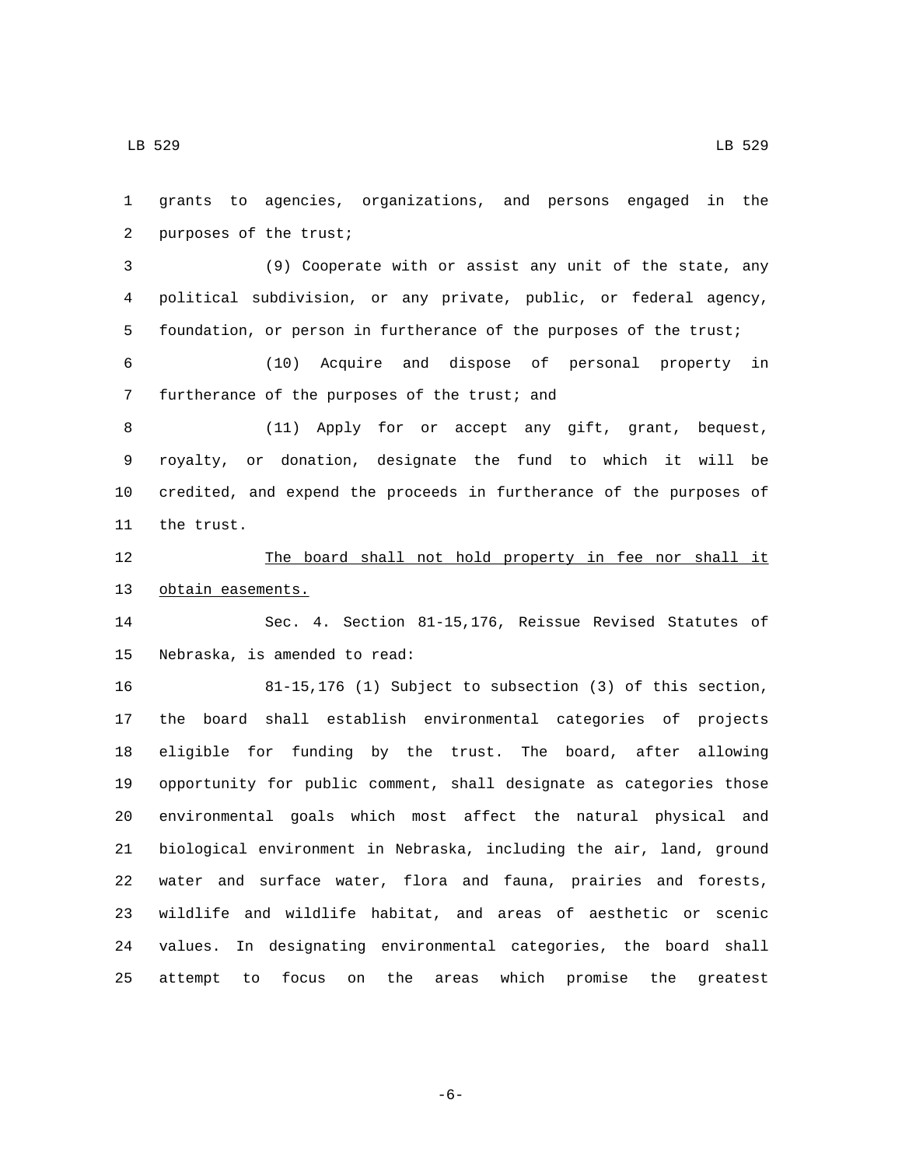grants to agencies, organizations, and persons engaged in the 2 purposes of the trust; (9) Cooperate with or assist any unit of the state, any political subdivision, or any private, public, or federal agency, foundation, or person in furtherance of the purposes of the trust; (10) Acquire and dispose of personal property in 7 furtherance of the purposes of the trust; and (11) Apply for or accept any gift, grant, bequest, royalty, or donation, designate the fund to which it will be credited, and expend the proceeds in furtherance of the purposes of 11 the trust. 12 The board shall not hold property in fee nor shall it 13 obtain easements. Sec. 4. Section 81-15,176, Reissue Revised Statutes of 15 Nebraska, is amended to read: 81-15,176 (1) Subject to subsection (3) of this section, the board shall establish environmental categories of projects eligible for funding by the trust. The board, after allowing opportunity for public comment, shall designate as categories those environmental goals which most affect the natural physical and biological environment in Nebraska, including the air, land, ground water and surface water, flora and fauna, prairies and forests, wildlife and wildlife habitat, and areas of aesthetic or scenic values. In designating environmental categories, the board shall attempt to focus on the areas which promise the greatest

-6-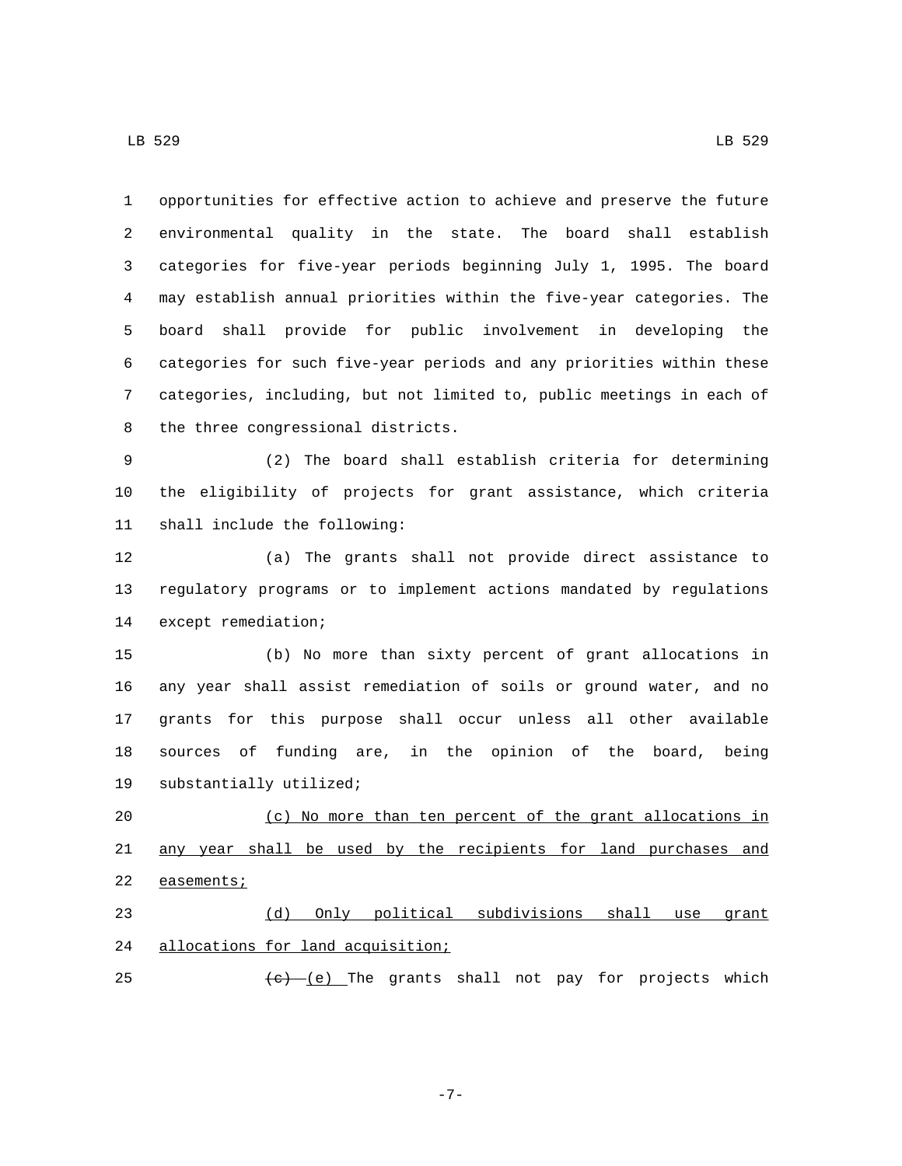LB 529 LB 529

 opportunities for effective action to achieve and preserve the future environmental quality in the state. The board shall establish categories for five-year periods beginning July 1, 1995. The board may establish annual priorities within the five-year categories. The board shall provide for public involvement in developing the categories for such five-year periods and any priorities within these categories, including, but not limited to, public meetings in each of 8 the three congressional districts.

 (2) The board shall establish criteria for determining the eligibility of projects for grant assistance, which criteria 11 shall include the following:

 (a) The grants shall not provide direct assistance to regulatory programs or to implement actions mandated by regulations 14 except remediation;

 (b) No more than sixty percent of grant allocations in any year shall assist remediation of soils or ground water, and no grants for this purpose shall occur unless all other available sources of funding are, in the opinion of the board, being 19 substantially utilized;

 (c) No more than ten percent of the grant allocations in any year shall be used by the recipients for land purchases and 22 easements;

 (d) Only political subdivisions shall use grant 24 allocations for land acquisition;

25  $(e)$  (e) The grants shall not pay for projects which

-7-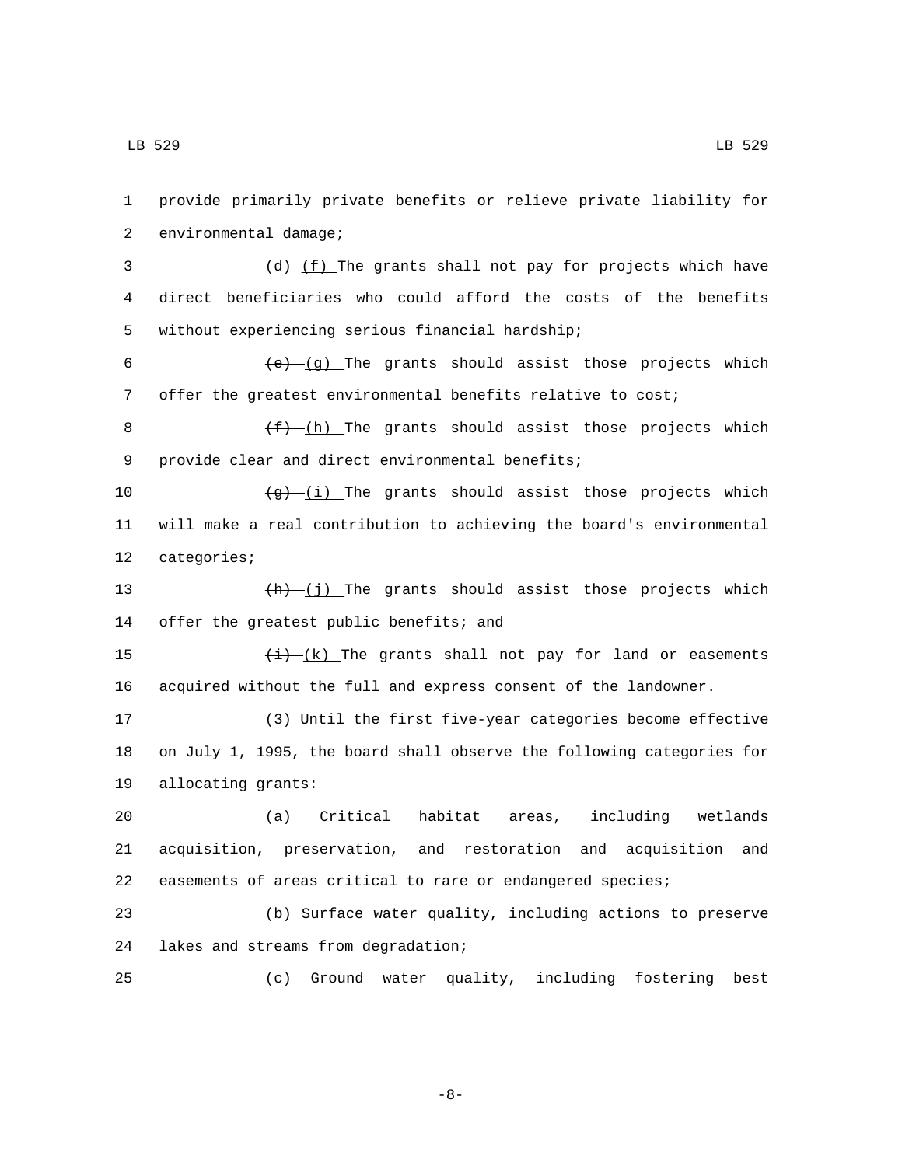2 environmental damage;  $(d)$   $(f)$  The grants shall not pay for projects which have direct beneficiaries who could afford the costs of the benefits 5 without experiencing serious financial hardship;  $(e)$  (g) The grants should assist those projects which offer the greatest environmental benefits relative to cost;  $(f)$  (h) The grants should assist those projects which 9 provide clear and direct environmental benefits;  $\frac{1}{9}$  (i) The grants should assist those projects which will make a real contribution to achieving the board's environmental 12 categories;  $+h$   $(j)$  The grants should assist those projects which 14 offer the greatest public benefits; and  $\frac{(i)}{(i)}$  The grants shall not pay for land or easements acquired without the full and express consent of the landowner. (3) Until the first five-year categories become effective on July 1, 1995, the board shall observe the following categories for 19 allocating grants: (a) Critical habitat areas, including wetlands acquisition, preservation, and restoration and acquisition and easements of areas critical to rare or endangered species; (b) Surface water quality, including actions to preserve 24 lakes and streams from degradation; (c) Ground water quality, including fostering best

1 provide primarily private benefits or relieve private liability for

-8-